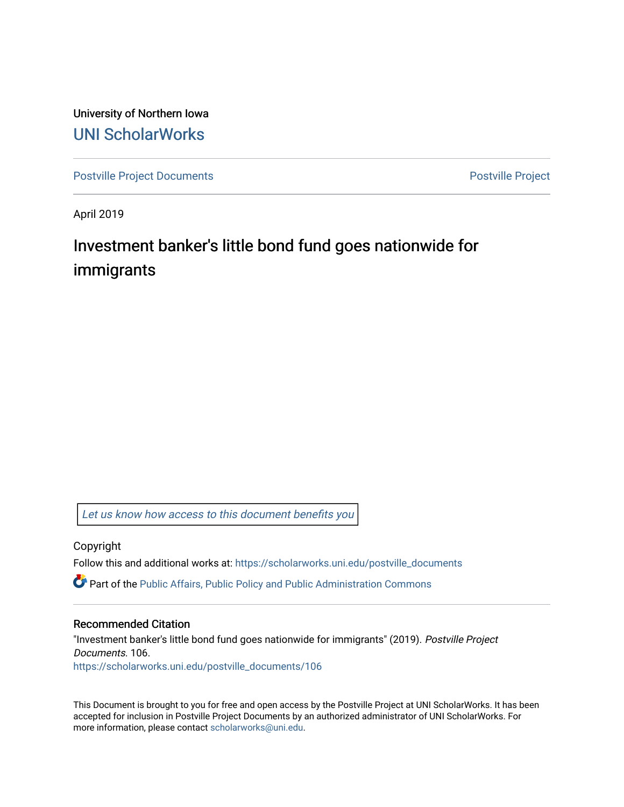University of Northern Iowa [UNI ScholarWorks](https://scholarworks.uni.edu/) 

[Postville Project Documents](https://scholarworks.uni.edu/postville_documents) **Postville Project** 

April 2019

## Investment banker's little bond fund goes nationwide for immigrants

[Let us know how access to this document benefits you](https://scholarworks.uni.edu/feedback_form.html) 

Copyright

Follow this and additional works at: [https://scholarworks.uni.edu/postville\\_documents](https://scholarworks.uni.edu/postville_documents?utm_source=scholarworks.uni.edu%2Fpostville_documents%2F106&utm_medium=PDF&utm_campaign=PDFCoverPages) 

Part of the [Public Affairs, Public Policy and Public Administration Commons](http://network.bepress.com/hgg/discipline/393?utm_source=scholarworks.uni.edu%2Fpostville_documents%2F106&utm_medium=PDF&utm_campaign=PDFCoverPages) 

## Recommended Citation

"Investment banker's little bond fund goes nationwide for immigrants" (2019). Postville Project Documents. 106. [https://scholarworks.uni.edu/postville\\_documents/106](https://scholarworks.uni.edu/postville_documents/106?utm_source=scholarworks.uni.edu%2Fpostville_documents%2F106&utm_medium=PDF&utm_campaign=PDFCoverPages) 

This Document is brought to you for free and open access by the Postville Project at UNI ScholarWorks. It has been accepted for inclusion in Postville Project Documents by an authorized administrator of UNI ScholarWorks. For more information, please contact [scholarworks@uni.edu.](mailto:scholarworks@uni.edu)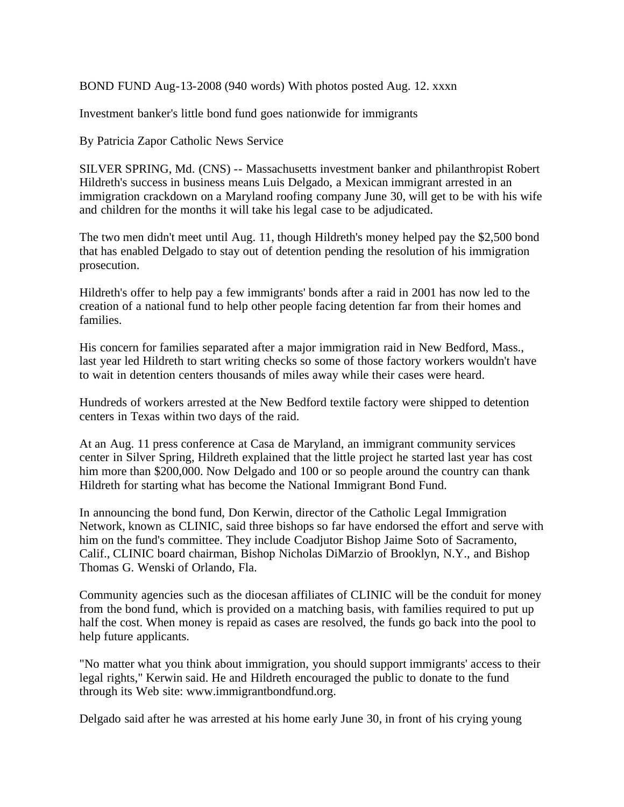BOND FUND Aug-13-2008 (940 words) With photos posted Aug. 12. xxxn

Investment banker's little bond fund goes nationwide for immigrants

By Patricia Zapor Catholic News Service

SILVER SPRING, Md. (CNS) -- Massachusetts investment banker and philanthropist Robert Hildreth's success in business means Luis Delgado, a Mexican immigrant arrested in an immigration crackdown on a Maryland roofing company June 30, will get to be with his wife and children for the months it will take his legal case to be adjudicated.

The two men didn't meet until Aug. 11, though Hildreth's money helped pay the \$2,500 bond that has enabled Delgado to stay out of detention pending the resolution of his immigration prosecution.

Hildreth's offer to help pay a few immigrants' bonds after a raid in 2001 has now led to the creation of a national fund to help other people facing detention far from their homes and families.

His concern for families separated after a major immigration raid in New Bedford, Mass., last year led Hildreth to start writing checks so some of those factory workers wouldn't have to wait in detention centers thousands of miles away while their cases were heard.

Hundreds of workers arrested at the New Bedford textile factory were shipped to detention centers in Texas within two days of the raid.

At an Aug. 11 press conference at Casa de Maryland, an immigrant community services center in Silver Spring, Hildreth explained that the little project he started last year has cost him more than \$200,000. Now Delgado and 100 or so people around the country can thank Hildreth for starting what has become the National Immigrant Bond Fund.

In announcing the bond fund, Don Kerwin, director of the Catholic Legal Immigration Network, known as CLINIC, said three bishops so far have endorsed the effort and serve with him on the fund's committee. They include Coadjutor Bishop Jaime Soto of Sacramento, Calif., CLINIC board chairman, Bishop Nicholas DiMarzio of Brooklyn, N.Y., and Bishop Thomas G. Wenski of Orlando, Fla.

Community agencies such as the diocesan affiliates of CLINIC will be the conduit for money from the bond fund, which is provided on a matching basis, with families required to put up half the cost. When money is repaid as cases are resolved, the funds go back into the pool to help future applicants.

"No matter what you think about immigration, you should support immigrants' access to their legal rights," Kerwin said. He and Hildreth encouraged the public to donate to the fund through its Web site: www.immigrantbondfund.org.

Delgado said after he was arrested at his home early June 30, in front of his crying young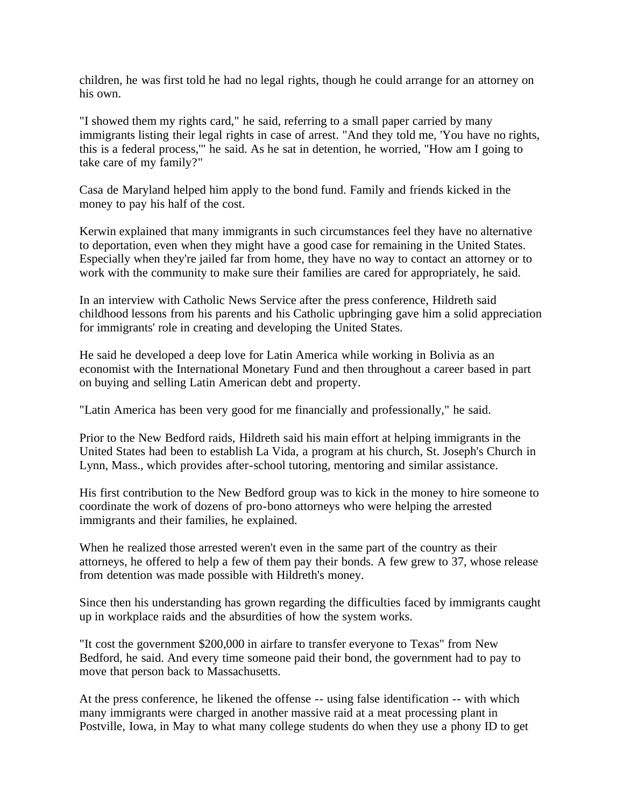children, he was first told he had no legal rights, though he could arrange for an attorney on his own.

"I showed them my rights card," he said, referring to a small paper carried by many immigrants listing their legal rights in case of arrest. "And they told me, 'You have no rights, this is a federal process,'" he said. As he sat in detention, he worried, "How am I going to take care of my family?"

Casa de Maryland helped him apply to the bond fund. Family and friends kicked in the money to pay his half of the cost.

Kerwin explained that many immigrants in such circumstances feel they have no alternative to deportation, even when they might have a good case for remaining in the United States. Especially when they're jailed far from home, they have no way to contact an attorney or to work with the community to make sure their families are cared for appropriately, he said.

In an interview with Catholic News Service after the press conference, Hildreth said childhood lessons from his parents and his Catholic upbringing gave him a solid appreciation for immigrants' role in creating and developing the United States.

He said he developed a deep love for Latin America while working in Bolivia as an economist with the International Monetary Fund and then throughout a career based in part on buying and selling Latin American debt and property.

"Latin America has been very good for me financially and professionally," he said.

Prior to the New Bedford raids, Hildreth said his main effort at helping immigrants in the United States had been to establish La Vida, a program at his church, St. Joseph's Church in Lynn, Mass., which provides after-school tutoring, mentoring and similar assistance.

His first contribution to the New Bedford group was to kick in the money to hire someone to coordinate the work of dozens of pro-bono attorneys who were helping the arrested immigrants and their families, he explained.

When he realized those arrested weren't even in the same part of the country as their attorneys, he offered to help a few of them pay their bonds. A few grew to 37, whose release from detention was made possible with Hildreth's money.

Since then his understanding has grown regarding the difficulties faced by immigrants caught up in workplace raids and the absurdities of how the system works.

"It cost the government \$200,000 in airfare to transfer everyone to Texas" from New Bedford, he said. And every time someone paid their bond, the government had to pay to move that person back to Massachusetts.

At the press conference, he likened the offense -- using false identification -- with which many immigrants were charged in another massive raid at a meat processing plant in Postville, Iowa, in May to what many college students do when they use a phony ID to get